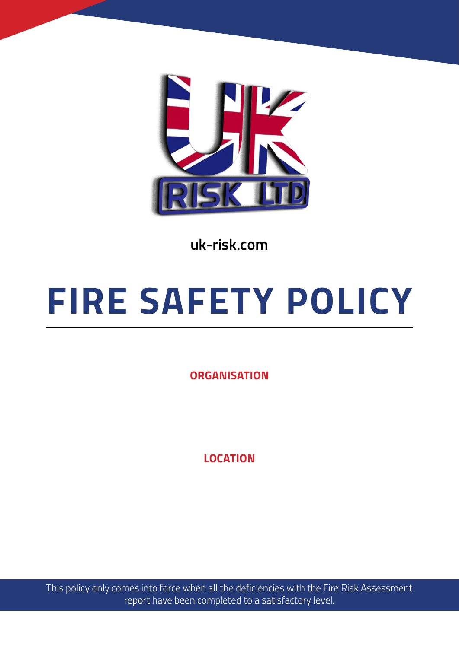

**uk-risk.com**

# **FIRE SAFETY POLICY**

**ORGANISATION**

**LOCATION**

This policy only comes into force when all the deficiencies with the Fire Risk Assessment report have been completed to a satisfactory level.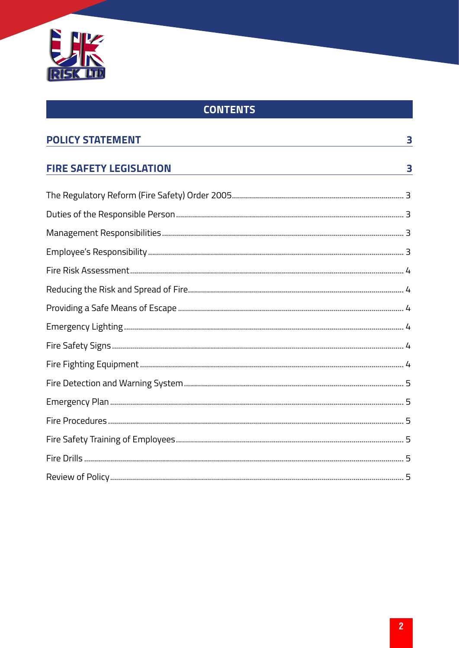

## **CONTENTS**

| <b>POLICY STATEMENT</b>        | 3 |
|--------------------------------|---|
| <b>FIRE SAFETY LEGISLATION</b> | 3 |
|                                |   |
|                                |   |
|                                |   |
|                                |   |
|                                |   |
|                                |   |
|                                |   |
|                                |   |
|                                |   |
|                                |   |
|                                |   |
|                                |   |
|                                |   |
|                                |   |
|                                |   |
|                                |   |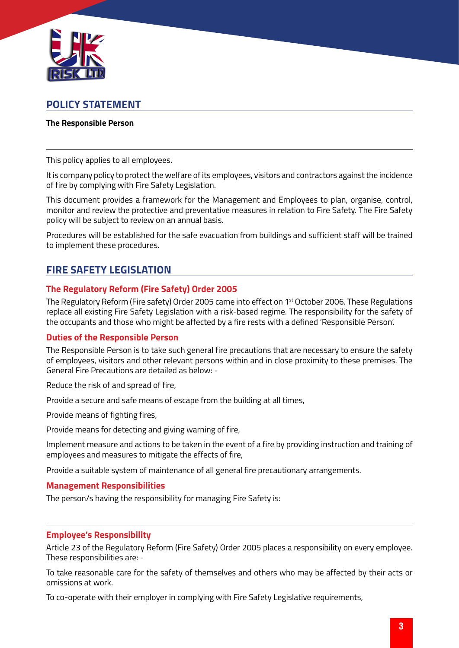<span id="page-2-0"></span>

### **POLICY STATEMENT**

#### **The Responsible Person**

This policy applies to all employees.

It is company policy to protect the welfare of its employees, visitors and contractors against the incidence of fire by complying with Fire Safety Legislation.

This document provides a framework for the Management and Employees to plan, organise, control, monitor and review the protective and preventative measures in relation to Fire Safety. The Fire Safety policy will be subject to review on an annual basis.

Procedures will be established for the safe evacuation from buildings and sufficient staff will be trained to implement these procedures.

## **FIRE SAFETY LEGISLATION**

#### **The Regulatory Reform (Fire Safety) Order 2005**

The Regulatory Reform (Fire safety) Order 2005 came into effect on 1st October 2006. These Regulations replace all existing Fire Safety Legislation with a risk-based regime. The responsibility for the safety of the occupants and those who might be affected by a fire rests with a defined 'Responsible Person'.

#### **Duties of the Responsible Person**

The Responsible Person is to take such general fire precautions that are necessary to ensure the safety of employees, visitors and other relevant persons within and in close proximity to these premises. The General Fire Precautions are detailed as below: -

Reduce the risk of and spread of fire,

Provide a secure and safe means of escape from the building at all times,

Provide means of fighting fires,

Provide means for detecting and giving warning of fire,

Implement measure and actions to be taken in the event of a fire by providing instruction and training of employees and measures to mitigate the effects of fire,

Provide a suitable system of maintenance of all general fire precautionary arrangements.

#### **Management Responsibilities**

The person/s having the responsibility for managing Fire Safety is:

#### **Employee's Responsibility**

Article 23 of the Regulatory Reform (Fire Safety) Order 2005 places a responsibility on every employee. These responsibilities are: -

To take reasonable care for the safety of themselves and others who may be affected by their acts or omissions at work.

To co-operate with their employer in complying with Fire Safety Legislative requirements,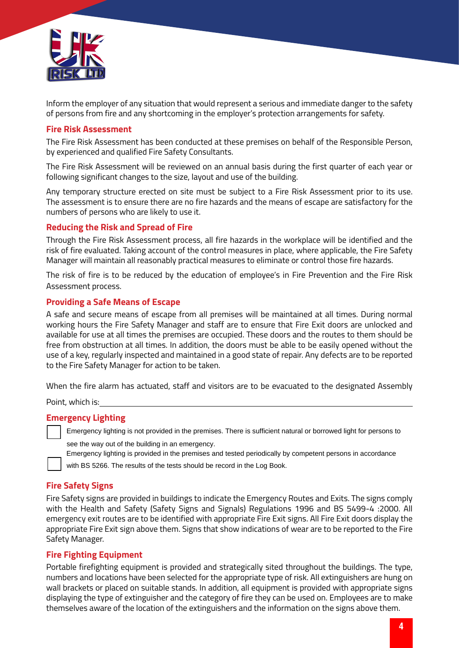<span id="page-3-0"></span>

Inform the employer of any situation that would represent a serious and immediate danger to the safety of persons from fire and any shortcoming in the employer's protection arrangements for safety.

#### **Fire Risk Assessment**

The Fire Risk Assessment has been conducted at these premises on behalf of the Responsible Person, by experienced and qualified Fire Safety Consultants.

The Fire Risk Assessment will be reviewed on an annual basis during the first quarter of each year or following significant changes to the size, layout and use of the building.

Any temporary structure erected on site must be subject to a Fire Risk Assessment prior to its use. The assessment is to ensure there are no fire hazards and the means of escape are satisfactory for the numbers of persons who are likely to use it.

#### **Reducing the Risk and Spread of Fire**

Through the Fire Risk Assessment process, all fire hazards in the workplace will be identified and the risk of fire evaluated. Taking account of the control measures in place, where applicable, the Fire Safety Manager will maintain all reasonably practical measures to eliminate or control those fire hazards.

The risk of fire is to be reduced by the education of employee's in Fire Prevention and the Fire Risk Assessment process.

#### **Providing a Safe Means of Escape**

A safe and secure means of escape from all premises will be maintained at all times. During normal working hours the Fire Safety Manager and staff are to ensure that Fire Exit doors are unlocked and available for use at all times the premises are occupied. These doors and the routes to them should be free from obstruction at all times. In addition, the doors must be able to be easily opened without the use of a key, regularly inspected and maintained in a good state of repair. Any defects are to be reported to the Fire Safety Manager for action to be taken.

When the fire alarm has actuated, staff and visitors are to be evacuated to the designated Assembly

Point, which is:

#### **Emergency Lighting**

Emergency lighting is not provided in the premises. There is sufficient natural or borrowed light for persons to<br>see the way out of the building in an emergency.<br>Emergency lighting is provided in the premises and tested pe

with BS 5266. The results of the tests should be record in the Log Book.

#### **Fire Safety Signs**

Fire Safety signs are provided in buildings to indicate the Emergency Routes and Exits. The signs comply with the Health and Safety (Safety Signs and Signals) Regulations 1996 and BS 5499-4 :2000. All emergency exit routes are to be identified with appropriate Fire Exit signs. All Fire Exit doors display the appropriate Fire Exit sign above them. Signs that show indications of wear are to be reported to the Fire Safety Manager.

#### **Fire Fighting Equipment**

Portable firefighting equipment is provided and strategically sited throughout the buildings. The type, numbers and locations have been selected for the appropriate type of risk. All extinguishers are hung on wall brackets or placed on suitable stands. In addition, all equipment is provided with appropriate signs displaying the type of extinguisher and the category of fire they can be used on. Employees are to make themselves aware of the location of the extinguishers and the information on the signs above them.